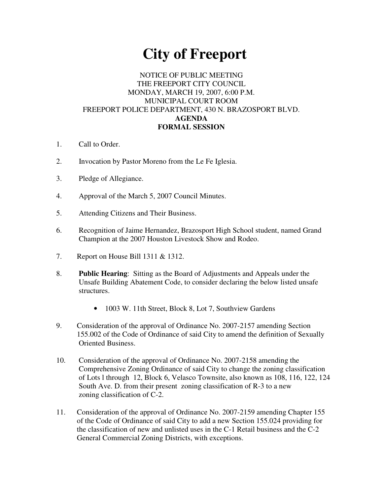# **City of Freeport**

## NOTICE OF PUBLIC MEETING THE FREEPORT CITY COUNCIL MONDAY, MARCH 19, 2007, 6:00 P.M. MUNICIPAL COURT ROOM FREEPORT POLICE DEPARTMENT, 430 N. BRAZOSPORT BLVD. **AGENDA FORMAL SESSION**

- 1. Call to Order.
- 2. Invocation by Pastor Moreno from the Le Fe Iglesia.
- 3. Pledge of Allegiance.
- 4. Approval of the March 5, 2007 Council Minutes.
- 5. Attending Citizens and Their Business.
- 6. Recognition of Jaime Hernandez, Brazosport High School student, named Grand Champion at the 2007 Houston Livestock Show and Rodeo.
- 7. Report on House Bill 1311 & 1312.
- 8. **Public Hearing**: Sitting as the Board of Adjustments and Appeals under the Unsafe Building Abatement Code, to consider declaring the below listed unsafe structures.
	- 1003 W. 11th Street, Block 8, Lot 7, Southview Gardens
- 9. Consideration of the approval of Ordinance No. 2007-2157 amending Section 155.002 of the Code of Ordinance of said City to amend the definition of Sexually Oriented Business.
- 10. Consideration of the approval of Ordinance No. 2007-2158 amending the Comprehensive Zoning Ordinance of said City to change the zoning classification of Lots l through 12, Block 6, Velasco Townsite, also known as 108, 116, 122, 124 South Ave. D. from their present zoning classification of R-3 to a new zoning classification of C-2.
- 11. Consideration of the approval of Ordinance No. 2007-2159 amending Chapter 155 of the Code of Ordinance of said City to add a new Section 155.024 providing for the classification of new and unlisted uses in the C-1 Retail business and the C-2 General Commercial Zoning Districts, with exceptions.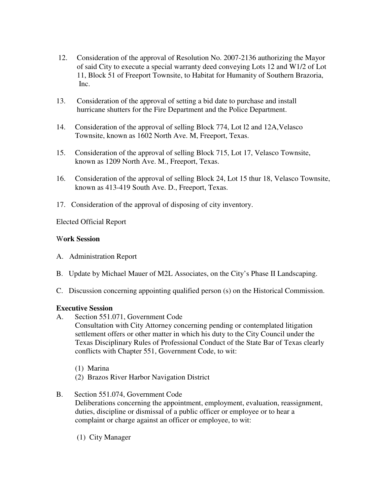- 12. Consideration of the approval of Resolution No. 2007-2136 authorizing the Mayor of said City to execute a special warranty deed conveying Lots 12 and W1/2 of Lot 11, Block 51 of Freeport Townsite, to Habitat for Humanity of Southern Brazoria, Inc.
- 13. Consideration of the approval of setting a bid date to purchase and install hurricane shutters for the Fire Department and the Police Department.
- 14. Consideration of the approval of selling Block 774, Lot l2 and 12A,Velasco Townsite, known as 1602 North Ave. M, Freeport, Texas.
- 15. Consideration of the approval of selling Block 715, Lot 17, Velasco Townsite, known as 1209 North Ave. M., Freeport, Texas.
- 16. Consideration of the approval of selling Block 24, Lot 15 thur 18, Velasco Townsite, known as 413-419 South Ave. D., Freeport, Texas.
- 17. Consideration of the approval of disposing of city inventory.

Elected Official Report

## W**ork Session**

- A. Administration Report
- B. Update by Michael Mauer of M2L Associates, on the City's Phase II Landscaping.
- C. Discussion concerning appointing qualified person (s) on the Historical Commission.

#### **Executive Session**

A. Section 551.071, Government Code

Consultation with City Attorney concerning pending or contemplated litigation settlement offers or other matter in which his duty to the City Council under the Texas Disciplinary Rules of Professional Conduct of the State Bar of Texas clearly conflicts with Chapter 551, Government Code, to wit:

- (1) Marina
- (2) Brazos River Harbor Navigation District
- B. Section 551.074, Government Code

Deliberations concerning the appointment, employment, evaluation, reassignment, duties, discipline or dismissal of a public officer or employee or to hear a complaint or charge against an officer or employee, to wit:

(1) City Manager